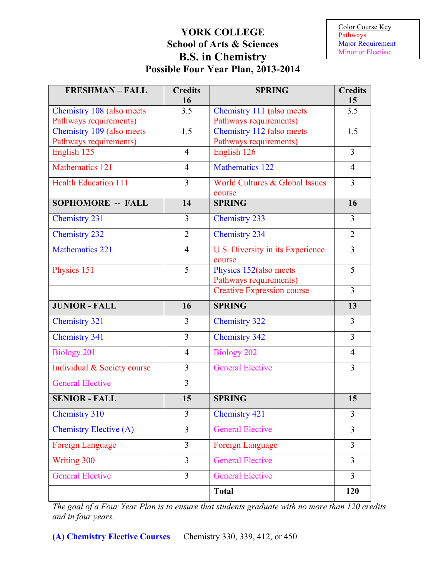## **YORK COLLEGE School of Arts & Sciences B.S. in Chemistry Possible Four Year Plan, 2013-2014**

Color Course Key Pathways Major Requirement Minor or Elective

| <b>FRESHMAN-FALL</b>          | <b>Credits</b><br>16 | <b>SPRING</b>                                    | <b>Credits</b><br>15 |
|-------------------------------|----------------------|--------------------------------------------------|----------------------|
| Chemistry 108 (also meets     | 3.5                  | Chemistry 111 (also meets                        | 3.5                  |
| Pathways requirements)        |                      | Pathways requirements)                           |                      |
| Chemistry 109 (also meets     | 1.5                  | Chemistry 112 (also meets                        | 1.5                  |
| Pathways requirements)        |                      | Pathways requirements)                           |                      |
| English 125                   | $\overline{4}$       | English 126                                      | 3                    |
| Mathematics 121               | $\overline{4}$       | <b>Mathematics 122</b>                           | $\overline{4}$       |
| <b>Health Education 111</b>   | $\overline{3}$       | World Cultures & Global Issues                   | $\overline{3}$       |
| <b>SOPHOMORE -- FALL</b>      | 14                   | course<br><b>SPRING</b>                          |                      |
|                               |                      |                                                  | 16                   |
| <b>Chemistry 231</b>          | 3                    | <b>Chemistry 233</b>                             | 3                    |
| <b>Chemistry 232</b>          | $\overline{2}$       | <b>Chemistry 234</b>                             | $\overline{2}$       |
| <b>Mathematics 221</b>        | $\overline{4}$       | U.S. Diversity in its Experience<br>course       | 3                    |
| Physics 151                   | 5                    | Physics 152(also meets<br>Pathways requirements) | 5                    |
|                               |                      | <b>Creative Expression course</b>                | $\overline{3}$       |
| <b>JUNIOR - FALL</b>          | 16                   | <b>SPRING</b>                                    | 13                   |
| <b>Chemistry 321</b>          | 3                    | <b>Chemistry 322</b>                             | 3                    |
| <b>Chemistry 341</b>          | $\overline{3}$       | <b>Chemistry 342</b>                             | $\overline{3}$       |
| <b>Biology 201</b>            | $\overline{4}$       | <b>Biology 202</b>                               | $\overline{4}$       |
| Individual & Society course   | 3                    | <b>General Elective</b>                          | 3                    |
| <b>General Elective</b>       | $\overline{3}$       |                                                  |                      |
| <b>SENIOR - FALL</b>          | 15                   | <b>SPRING</b>                                    | 15                   |
| <b>Chemistry 310</b>          | 3                    | <b>Chemistry 421</b>                             | 3                    |
| <b>Chemistry Elective (A)</b> | $\overline{3}$       | <b>General Elective</b>                          | 3                    |
| Foreign Language +            | $\overline{3}$       | Foreign Language +                               | $\overline{3}$       |
| Writing 300                   | $\overline{3}$       | <b>General Elective</b>                          | $\overline{3}$       |
| <b>General Elective</b>       | $\overline{3}$       | <b>General Elective</b>                          | $\overline{3}$       |
|                               |                      | <b>Total</b>                                     | 120                  |

*The goal of a Four Year Plan is to ensure that students graduate with no more than 120 credits and in four years.*

**(A) Chemistry Elective Courses** Chemistry 330, 339, 412, or 450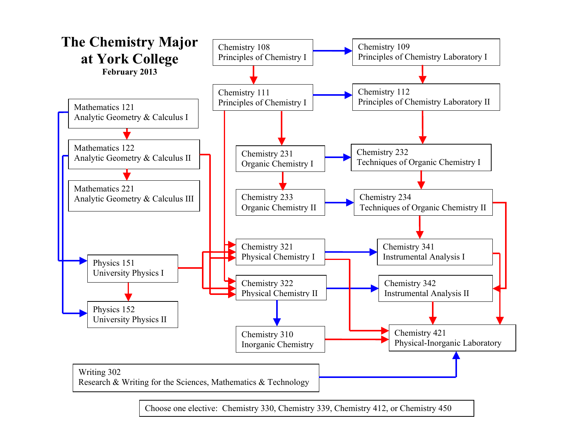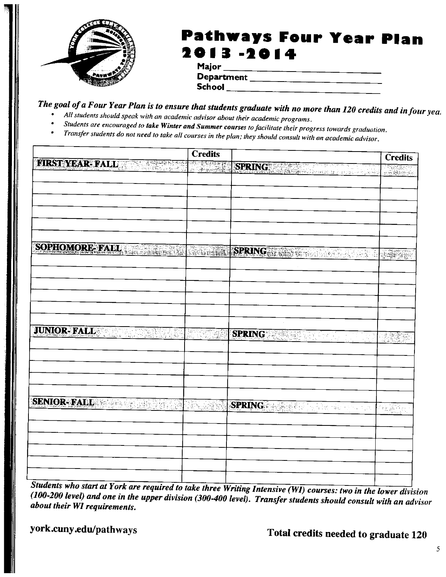

## Pathways Four Year Plan 013-20

| мајог      |  |
|------------|--|
| Department |  |
| School     |  |

The goal of a Four Year Plan is to ensure that students graduate with no more than 120 credits and in four yea

- All students should speak with an academic advisor about their academic programs.
- Students are encouraged to take Winter and Summer courses to facilitate their progress towards graduation.
- Transfer students do not need to take all courses in the plan; they should consult with an academic advisor.

|                                      | <b>Credits</b>   |                                   | <b>Credits</b>         |
|--------------------------------------|------------------|-----------------------------------|------------------------|
| EIRSTYDARE FALL THE STATE            |                  | SPRING A REPORT OF REAL PROPERTY. | e Tingging and         |
|                                      |                  |                                   |                        |
|                                      |                  |                                   |                        |
|                                      |                  |                                   |                        |
|                                      |                  |                                   |                        |
|                                      |                  |                                   |                        |
|                                      |                  |                                   |                        |
| SOPHOMORE EXTERNATIONAL CONSTRUCTION |                  | SPRING NAME OF SPRING             |                        |
|                                      |                  |                                   |                        |
|                                      |                  |                                   |                        |
|                                      |                  |                                   |                        |
|                                      |                  |                                   |                        |
|                                      |                  |                                   |                        |
|                                      |                  |                                   |                        |
| <b>JUNIOR- FALL</b>                  | ARKO PENY        | <b>SPRING SPRING</b>              | <b>ISSEE</b>           |
|                                      |                  |                                   |                        |
|                                      |                  |                                   |                        |
|                                      |                  |                                   |                        |
|                                      |                  |                                   |                        |
|                                      |                  |                                   |                        |
| SENIOR-FALL CONTROL                  | <b>RANCH AND</b> | SPRING THE CONTRACTOR             | Princeton<br>Princeton |
|                                      |                  |                                   |                        |
|                                      |                  |                                   |                        |
|                                      |                  |                                   |                        |
|                                      |                  |                                   |                        |
|                                      |                  |                                   |                        |
|                                      |                  |                                   |                        |

Students who start at York are required to take three Writing Intensive (WI) courses: two in the lower division (100-200 level) and one in the upper division (300-400 level). Transfer students should consult with an advisor about their WI requirements.

york.cuny.edu/pathways

Total credits needed to graduate 120